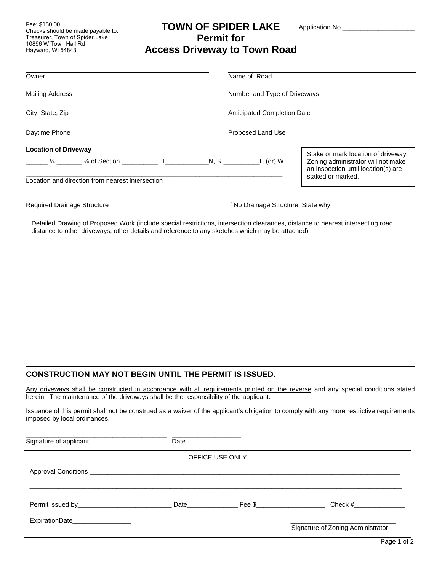Fee: \$150.00 Checks should be made payable to: Treasurer, Town of Spider Lake 10896 W Town Hall Rd Hayward, WI 54843

## **TOWN OF SPIDER LAKE Permit for Access Driveway to Town Road**

Application No.\_

| Owner                                                                                                                                                           | Name of Road                        |                                                                                                                                       |
|-----------------------------------------------------------------------------------------------------------------------------------------------------------------|-------------------------------------|---------------------------------------------------------------------------------------------------------------------------------------|
| <b>Mailing Address</b>                                                                                                                                          | Number and Type of Driveways        |                                                                                                                                       |
| City, State, Zip                                                                                                                                                | Anticipated Completion Date         |                                                                                                                                       |
| Daytime Phone                                                                                                                                                   | Proposed Land Use                   |                                                                                                                                       |
| <b>Location of Driveway</b><br>Location and direction from nearest intersection                                                                                 |                                     | Stake or mark location of driveway.<br>Zoning administrator will not make<br>an inspection until location(s) are<br>staked or marked. |
| Required Drainage Structure<br>Detailed Drawing of Proposed Work (include special restrictions, intersection clearances, distance to nearest intersecting road, | If No Drainage Structure, State why |                                                                                                                                       |
| distance to other driveways, other details and reference to any sketches which may be attached)                                                                 |                                     |                                                                                                                                       |
|                                                                                                                                                                 |                                     |                                                                                                                                       |
|                                                                                                                                                                 |                                     |                                                                                                                                       |
|                                                                                                                                                                 |                                     |                                                                                                                                       |
|                                                                                                                                                                 |                                     |                                                                                                                                       |
|                                                                                                                                                                 |                                     |                                                                                                                                       |
|                                                                                                                                                                 |                                     |                                                                                                                                       |

## **CONSTRUCTION MAY NOT BEGIN UNTIL THE PERMIT IS ISSUED.**

Any driveways shall be constructed in accordance with all requirements printed on the reverse and any special conditions stated herein. The maintenance of the driveways shall be the responsibility of the applicant.

Issuance of this permit shall not be construed as a waiver of the applicant's obligation to comply with any more restrictive requirements imposed by local ordinances.

| Signature of applicant         | Date |  |                                   |  |  |
|--------------------------------|------|--|-----------------------------------|--|--|
| OFFICE USE ONLY                |      |  |                                   |  |  |
|                                |      |  |                                   |  |  |
|                                |      |  |                                   |  |  |
|                                |      |  | Check #_______________            |  |  |
| ExpirationDate________________ |      |  |                                   |  |  |
|                                |      |  | Signature of Zoning Administrator |  |  |